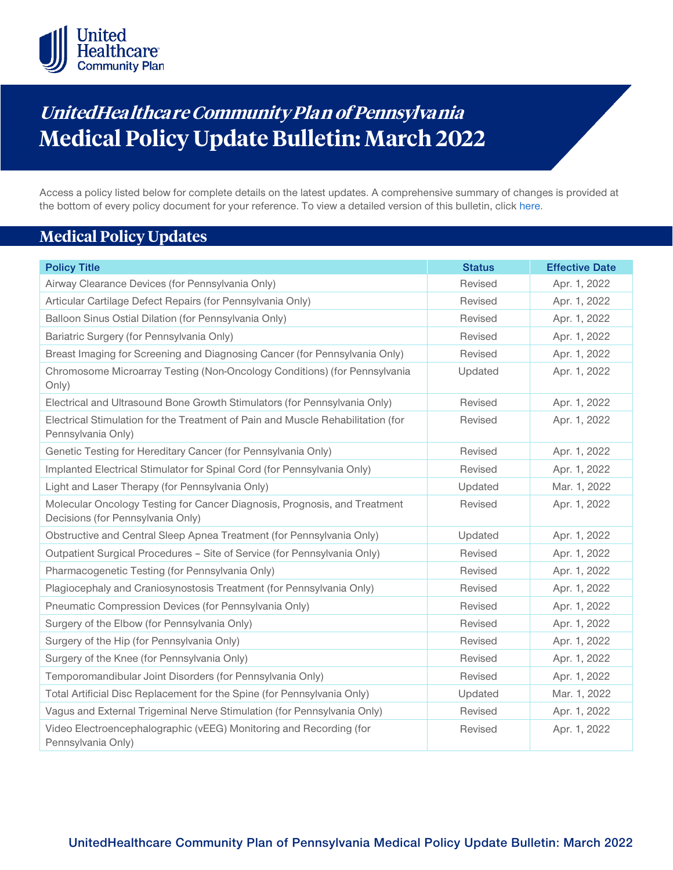

# **UnitedHealthcare Community Plan of Pennsylvania Medical Policy Update Bulletin: March 2022**

Access a policy listed below for complete details on the latest updates. A comprehensive summary of changes is provided at the bottom of every policy document for your reference. To view a detailed version of this bulletin, clic[k here.](https://www.uhcprovider.com/content/dam/provider/docs/public/policies/mpub-archives/comm-plan/pa/community-plan-pa-medical-policy-update-bulletin-march-2022-full.pdf)

# **Medical Policy Updates**

| <b>Policy Title</b>                                                                                            | <b>Status</b> | <b>Effective Date</b> |
|----------------------------------------------------------------------------------------------------------------|---------------|-----------------------|
| Airway Clearance Devices (for Pennsylvania Only)                                                               | Revised       | Apr. 1, 2022          |
| Articular Cartilage Defect Repairs (for Pennsylvania Only)                                                     | Revised       | Apr. 1, 2022          |
| Balloon Sinus Ostial Dilation (for Pennsylvania Only)                                                          | Revised       | Apr. 1, 2022          |
| Bariatric Surgery (for Pennsylvania Only)                                                                      | Revised       | Apr. 1, 2022          |
| Breast Imaging for Screening and Diagnosing Cancer (for Pennsylvania Only)                                     | Revised       | Apr. 1, 2022          |
| Chromosome Microarray Testing (Non-Oncology Conditions) (for Pennsylvania<br>Only)                             | Updated       | Apr. 1, 2022          |
| Electrical and Ultrasound Bone Growth Stimulators (for Pennsylvania Only)                                      | Revised       | Apr. 1, 2022          |
| Electrical Stimulation for the Treatment of Pain and Muscle Rehabilitation (for<br>Pennsylvania Only)          | Revised       | Apr. 1, 2022          |
| Genetic Testing for Hereditary Cancer (for Pennsylvania Only)                                                  | Revised       | Apr. 1, 2022          |
| Implanted Electrical Stimulator for Spinal Cord (for Pennsylvania Only)                                        | Revised       | Apr. 1, 2022          |
| Light and Laser Therapy (for Pennsylvania Only)                                                                | Updated       | Mar. 1, 2022          |
| Molecular Oncology Testing for Cancer Diagnosis, Prognosis, and Treatment<br>Decisions (for Pennsylvania Only) | Revised       | Apr. 1, 2022          |
| Obstructive and Central Sleep Apnea Treatment (for Pennsylvania Only)                                          | Updated       | Apr. 1, 2022          |
| Outpatient Surgical Procedures - Site of Service (for Pennsylvania Only)                                       | Revised       | Apr. 1, 2022          |
| Pharmacogenetic Testing (for Pennsylvania Only)                                                                | Revised       | Apr. 1, 2022          |
| Plagiocephaly and Craniosynostosis Treatment (for Pennsylvania Only)                                           | Revised       | Apr. 1, 2022          |
| Pneumatic Compression Devices (for Pennsylvania Only)                                                          | Revised       | Apr. 1, 2022          |
| Surgery of the Elbow (for Pennsylvania Only)                                                                   | Revised       | Apr. 1, 2022          |
| Surgery of the Hip (for Pennsylvania Only)                                                                     | Revised       | Apr. 1, 2022          |
| Surgery of the Knee (for Pennsylvania Only)                                                                    | Revised       | Apr. 1, 2022          |
| Temporomandibular Joint Disorders (for Pennsylvania Only)                                                      | Revised       | Apr. 1, 2022          |
| Total Artificial Disc Replacement for the Spine (for Pennsylvania Only)                                        | Updated       | Mar. 1, 2022          |
| Vagus and External Trigeminal Nerve Stimulation (for Pennsylvania Only)                                        | Revised       | Apr. 1, 2022          |
| Video Electroencephalographic (vEEG) Monitoring and Recording (for<br>Pennsylvania Only)                       | Revised       | Apr. 1, 2022          |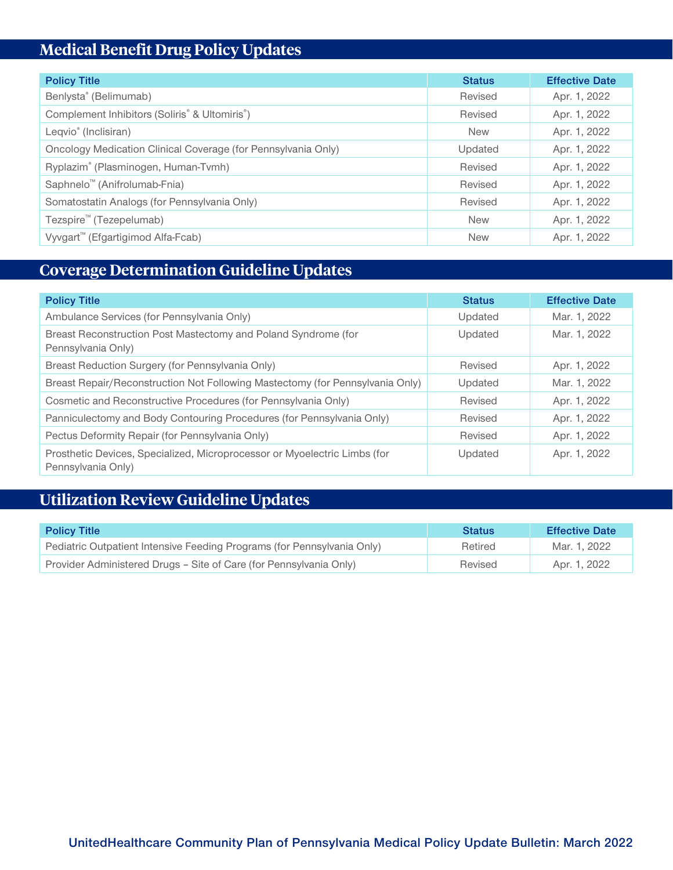# **Medical Benefit Drug Policy Updates**

| <b>Policy Title</b>                                                    | <b>Status</b> | <b>Effective Date</b> |
|------------------------------------------------------------------------|---------------|-----------------------|
| Benlysta® (Belimumab)                                                  | Revised       | Apr. 1, 2022          |
| Complement Inhibitors (Soliris <sup>®</sup> & Ultomiris <sup>®</sup> ) | Revised       | Apr. 1, 2022          |
| Leqvio <sup>®</sup> (Inclisiran)                                       | <b>New</b>    | Apr. 1, 2022          |
| Oncology Medication Clinical Coverage (for Pennsylvania Only)          | Updated       | Apr. 1, 2022          |
| Ryplazim® (Plasminogen, Human-Tvmh)                                    | Revised       | Apr. 1, 2022          |
| Saphnelo <sup>™</sup> (Anifrolumab-Fnia)                               | Revised       | Apr. 1, 2022          |
| Somatostatin Analogs (for Pennsylvania Only)                           | Revised       | Apr. 1, 2022          |
| Tezspire <sup>™</sup> (Tezepelumab)                                    | <b>New</b>    | Apr. 1, 2022          |
| Vyvgart <sup>™</sup> (Efgartigimod Alfa-Fcab)                          | <b>New</b>    | Apr. 1, 2022          |

# **Coverage Determination Guideline Updates**

| <b>Policy Title</b>                                                                             | <b>Status</b> | <b>Effective Date</b> |
|-------------------------------------------------------------------------------------------------|---------------|-----------------------|
| Ambulance Services (for Pennsylvania Only)                                                      | Updated       | Mar. 1, 2022          |
| Breast Reconstruction Post Mastectomy and Poland Syndrome (for<br>Pennsylvania Only)            | Updated       | Mar. 1, 2022          |
| Breast Reduction Surgery (for Pennsylvania Only)                                                | Revised       | Apr. 1, 2022          |
| Breast Repair/Reconstruction Not Following Mastectomy (for Pennsylvania Only)                   | Updated       | Mar. 1, 2022          |
| Cosmetic and Reconstructive Procedures (for Pennsylvania Only)                                  | Revised       | Apr. 1, 2022          |
| Panniculectomy and Body Contouring Procedures (for Pennsylvania Only)                           | Revised       | Apr. 1, 2022          |
| Pectus Deformity Repair (for Pennsylvania Only)                                                 | Revised       | Apr. 1, 2022          |
| Prosthetic Devices, Specialized, Microprocessor or Myoelectric Limbs (for<br>Pennsylvania Only) | Updated       | Apr. 1, 2022          |

# **Utilization Review Guideline Updates**

| <b>Policy Title</b>                                                     | <b>Status</b> | <b>Effective Date</b> |
|-------------------------------------------------------------------------|---------------|-----------------------|
| Pediatric Outpatient Intensive Feeding Programs (for Pennsylvania Only) | Retired       | Mar. 1, 2022          |
| Provider Administered Drugs - Site of Care (for Pennsylvania Only)      | Revised       | Apr. 1, 2022          |